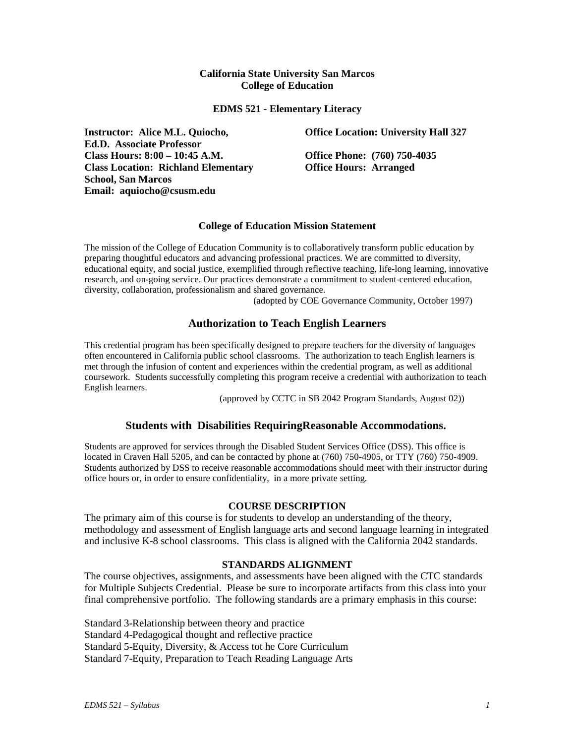### **California State University San Marcos College of Education**

### **EDMS 521 - Elementary Literacy**

**Instructor: Alice M.L. Quiocho, Ed.D. Associate Professor Class Hours: 8:00 – 10:45 A.M. Office Phone: (760) 750-4035 Class Location: Richland Elementary School, San Marcos Email: aquiocho@csusm.edu**

**Office Location: University Hall 327**

**Office Hours: Arranged**

### **College of Education Mission Statement**

The mission of the College of Education Community is to collaboratively transform public education by preparing thoughtful educators and advancing professional practices. We are committed to diversity, educational equity, and social justice, exemplified through reflective teaching, life-long learning, innovative research, and on-going service. Our practices demonstrate a commitment to student-centered education, diversity, collaboration, professionalism and shared governance.

(adopted by COE Governance Community, October 1997)

# **Authorization to Teach English Learners**

This credential program has been specifically designed to prepare teachers for the diversity of languages often encountered in California public school classrooms. The authorization to teach English learners is met through the infusion of content and experiences within the credential program, as well as additional coursework. Students successfully completing this program receive a credential with authorization to teach English learners.

(approved by CCTC in SB 2042 Program Standards, August 02))

# **Students with Disabilities RequiringReasonable Accommodations.**

Students are approved for services through the Disabled Student Services Office (DSS). This office is located in Craven Hall 5205, and can be contacted by phone at (760) 750-4905, or TTY (760) 750-4909. Students authorized by DSS to receive reasonable accommodations should meet with their instructor during office hours or, in order to ensure confidentiality, in a more private setting.

### **COURSE DESCRIPTION**

The primary aim of this course is for students to develop an understanding of the theory, methodology and assessment of English language arts and second language learning in integrated and inclusive K-8 school classrooms. This class is aligned with the California 2042 standards.

### **STANDARDS ALIGNMENT**

The course objectives, assignments, and assessments have been aligned with the CTC standards for Multiple Subjects Credential. Please be sure to incorporate artifacts from this class into your final comprehensive portfolio. The following standards are a primary emphasis in this course:

Standard 3-Relationship between theory and practice Standard 4-Pedagogical thought and reflective practice Standard 5-Equity, Diversity, & Access tot he Core Curriculum Standard 7-Equity, Preparation to Teach Reading Language Arts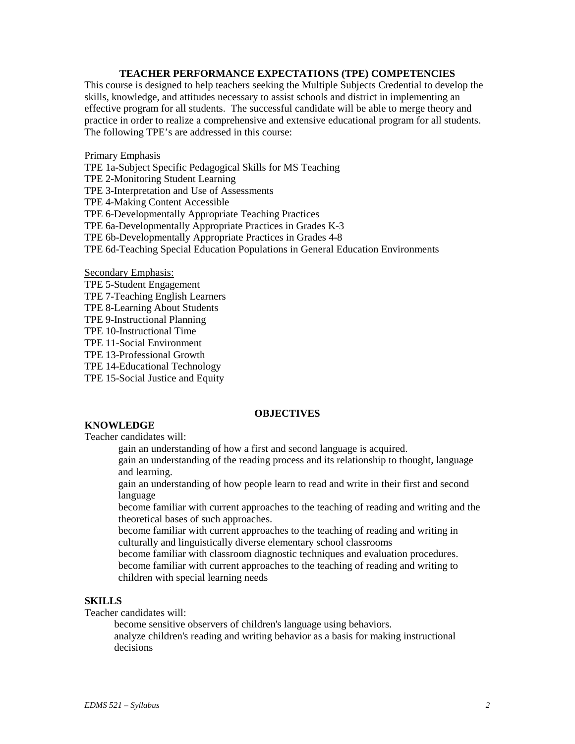### **TEACHER PERFORMANCE EXPECTATIONS (TPE) COMPETENCIES**

This course is designed to help teachers seeking the Multiple Subjects Credential to develop the skills, knowledge, and attitudes necessary to assist schools and district in implementing an effective program for all students. The successful candidate will be able to merge theory and practice in order to realize a comprehensive and extensive educational program for all students. The following TPE's are addressed in this course:

Primary Emphasis

TPE 1a-Subject Specific Pedagogical Skills for MS Teaching

TPE 2-Monitoring Student Learning

TPE 3-Interpretation and Use of Assessments

TPE 4-Making Content Accessible

TPE 6-Developmentally Appropriate Teaching Practices

TPE 6a-Developmentally Appropriate Practices in Grades K-3

TPE 6b-Developmentally Appropriate Practices in Grades 4-8

TPE 6d-Teaching Special Education Populations in General Education Environments

Secondary Emphasis:

TPE 5-Student Engagement

TPE 7-Teaching English Learners

TPE 8-Learning About Students

TPE 9-Instructional Planning

TPE 10-Instructional Time

TPE 11-Social Environment

TPE 13-Professional Growth

TPE 14-Educational Technology

TPE 15-Social Justice and Equity

# **OBJECTIVES**

# **KNOWLEDGE**

Teacher candidates will:

gain an understanding of how a first and second language is acquired.

gain an understanding of the reading process and its relationship to thought, language and learning.

gain an understanding of how people learn to read and write in their first and second language

become familiar with current approaches to the teaching of reading and writing and the theoretical bases of such approaches.

become familiar with current approaches to the teaching of reading and writing in culturally and linguistically diverse elementary school classrooms

become familiar with classroom diagnostic techniques and evaluation procedures. become familiar with current approaches to the teaching of reading and writing to children with special learning needs

# **SKILLS**

Teacher candidates will:

become sensitive observers of children's language using behaviors.

analyze children's reading and writing behavior as a basis for making instructional decisions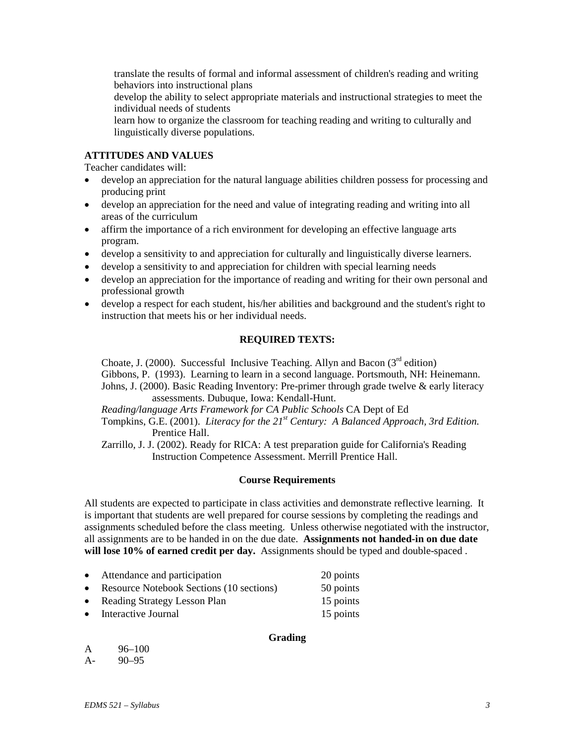translate the results of formal and informal assessment of children's reading and writing behaviors into instructional plans

develop the ability to select appropriate materials and instructional strategies to meet the individual needs of students

learn how to organize the classroom for teaching reading and writing to culturally and linguistically diverse populations.

# **ATTITUDES AND VALUES**

Teacher candidates will:

- develop an appreciation for the natural language abilities children possess for processing and producing print
- develop an appreciation for the need and value of integrating reading and writing into all areas of the curriculum
- affirm the importance of a rich environment for developing an effective language arts program.
- develop a sensitivity to and appreciation for culturally and linguistically diverse learners.
- develop a sensitivity to and appreciation for children with special learning needs
- develop an appreciation for the importance of reading and writing for their own personal and professional growth
- develop a respect for each student, his/her abilities and background and the student's right to instruction that meets his or her individual needs.

### **REQUIRED TEXTS:**

Choate, J. (2000). Successful Inclusive Teaching. Allyn and Bacon ( $3<sup>rd</sup>$  edition) Gibbons, P. (1993). Learning to learn in a second language. Portsmouth, NH: Heinemann. Johns, J. (2000). Basic Reading Inventory: Pre-primer through grade twelve & early literacy assessments. Dubuque, Iowa: Kendall-Hunt.

*Reading/language Arts Framework for CA Public Schools* CA Dept of Ed

Tompkins, G.E. (2001). *Literacy for the 21st Century: A Balanced Approach, 3rd Edition.* Prentice Hall.

Zarrillo, J. J. (2002). Ready for RICA: A test preparation guide for California's Reading Instruction Competence Assessment. Merrill Prentice Hall.

# **Course Requirements**

All students are expected to participate in class activities and demonstrate reflective learning. It is important that students are well prepared for course sessions by completing the readings and assignments scheduled before the class meeting. Unless otherwise negotiated with the instructor, all assignments are to be handed in on the due date. **Assignments not handed-in on due date will lose 10% of earned credit per day.** Assignments should be typed and double-spaced .

| Attendance and participation             | 20 points |
|------------------------------------------|-----------|
| Resource Notebook Sections (10 sections) | 50 points |

- Reading Strategy Lesson Plan 15 points
- Interactive Journal 15 points

# **Grading**

| A    | $96 - 100$ |
|------|------------|
| $A-$ | $90 - 95$  |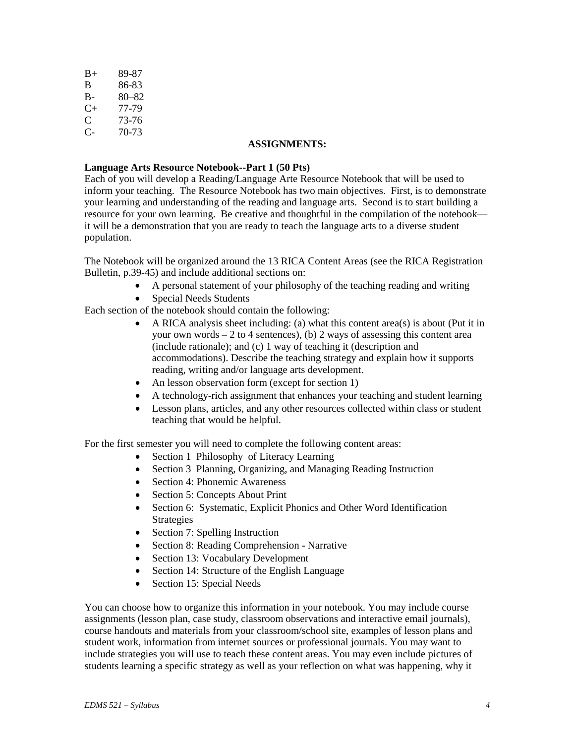| $B+$      | 89-87 |
|-----------|-------|
| B         | 86-83 |
| В-        | 80–82 |
| $C_{\pm}$ | 77-79 |
| C         | 73-76 |
| С-        | 70-73 |
|           |       |

### **ASSIGNMENTS:**

# **Language Arts Resource Notebook--Part 1 (50 Pts)**

Each of you will develop a Reading/Language Arte Resource Notebook that will be used to inform your teaching. The Resource Notebook has two main objectives. First, is to demonstrate your learning and understanding of the reading and language arts. Second is to start building a resource for your own learning. Be creative and thoughtful in the compilation of the notebook it will be a demonstration that you are ready to teach the language arts to a diverse student population.

The Notebook will be organized around the 13 RICA Content Areas (see the RICA Registration Bulletin, p.39-45) and include additional sections on:

- A personal statement of your philosophy of the teaching reading and writing
- Special Needs Students

Each section of the notebook should contain the following:

- A RICA analysis sheet including: (a) what this content area(s) is about (Put it in your own words  $-2$  to 4 sentences), (b) 2 ways of assessing this content area (include rationale); and (c) 1 way of teaching it (description and accommodations). Describe the teaching strategy and explain how it supports reading, writing and/or language arts development.
- An lesson observation form (except for section 1)
- A technology-rich assignment that enhances your teaching and student learning
- Lesson plans, articles, and any other resources collected within class or student teaching that would be helpful.

For the first semester you will need to complete the following content areas:

- Section 1 Philosophy of Literacy Learning
- Section 3 Planning, Organizing, and Managing Reading Instruction
- Section 4: Phonemic Awareness
- Section 5: Concepts About Print
- Section 6: Systematic, Explicit Phonics and Other Word Identification Strategies
- Section 7: Spelling Instruction
- Section 8: Reading Comprehension Narrative
- Section 13: Vocabulary Development
- Section 14: Structure of the English Language
- Section 15: Special Needs

You can choose how to organize this information in your notebook. You may include course assignments (lesson plan, case study, classroom observations and interactive email journals), course handouts and materials from your classroom/school site, examples of lesson plans and student work, information from internet sources or professional journals. You may want to include strategies you will use to teach these content areas. You may even include pictures of students learning a specific strategy as well as your reflection on what was happening, why it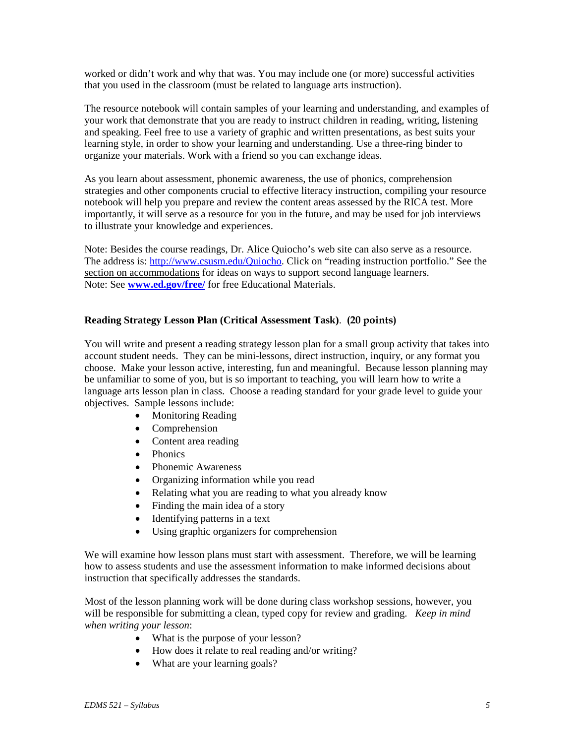worked or didn't work and why that was. You may include one (or more) successful activities that you used in the classroom (must be related to language arts instruction).

The resource notebook will contain samples of your learning and understanding, and examples of your work that demonstrate that you are ready to instruct children in reading, writing, listening and speaking. Feel free to use a variety of graphic and written presentations, as best suits your learning style, in order to show your learning and understanding. Use a three-ring binder to organize your materials. Work with a friend so you can exchange ideas.

As you learn about assessment, phonemic awareness, the use of phonics, comprehension strategies and other components crucial to effective literacy instruction, compiling your resource notebook will help you prepare and review the content areas assessed by the RICA test. More importantly, it will serve as a resource for you in the future, and may be used for job interviews to illustrate your knowledge and experiences.

Note: Besides the course readings, Dr. Alice Quiocho's web site can also serve as a resource. The address is: [http://www.csusm.edu/Quiocho.](http://www.csusm.edu/Quiocho) Click on "reading instruction portfolio." See the section on accommodations for ideas on ways to support second language learners. Note: See **[www.ed.gov/free/](http://www.ed.gov/free/)** for free Educational Materials.

# **Reading Strategy Lesson Plan (Critical Assessment Task)**. **(20 points)**

You will write and present a reading strategy lesson plan for a small group activity that takes into account student needs. They can be mini-lessons, direct instruction, inquiry, or any format you choose. Make your lesson active, interesting, fun and meaningful. Because lesson planning may be unfamiliar to some of you, but is so important to teaching, you will learn how to write a language arts lesson plan in class. Choose a reading standard for your grade level to guide your objectives. Sample lessons include:

- Monitoring Reading
- Comprehension
- Content area reading
- Phonics
- Phonemic Awareness
- Organizing information while you read
- Relating what you are reading to what you already know
- Finding the main idea of a story
- Identifying patterns in a text
- Using graphic organizers for comprehension

We will examine how lesson plans must start with assessment. Therefore, we will be learning how to assess students and use the assessment information to make informed decisions about instruction that specifically addresses the standards.

Most of the lesson planning work will be done during class workshop sessions, however, you will be responsible for submitting a clean, typed copy for review and grading. *Keep in mind when writing your lesson*:

- What is the purpose of your lesson?
- How does it relate to real reading and/or writing?
- What are your learning goals?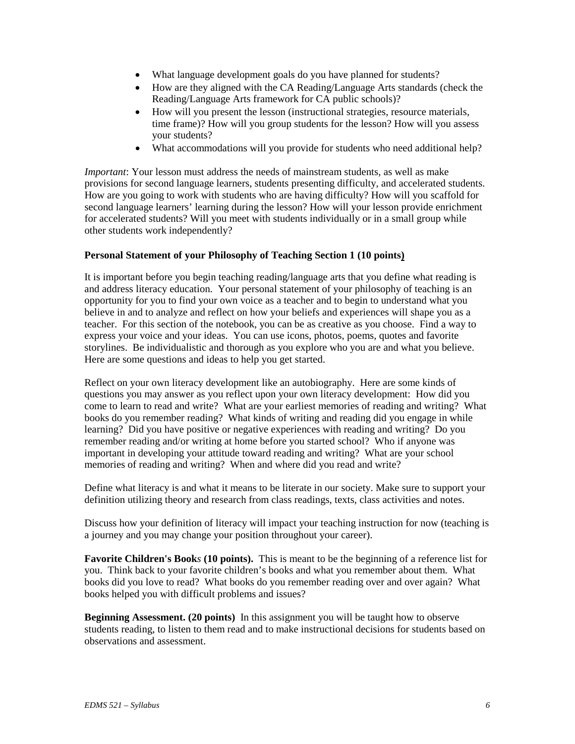- What language development goals do you have planned for students?
- How are they aligned with the CA Reading/Language Arts standards (check the Reading/Language Arts framework for CA public schools)?
- How will you present the lesson (instructional strategies, resource materials, time frame)? How will you group students for the lesson? How will you assess your students?
- What accommodations will you provide for students who need additional help?

*Important*: Your lesson must address the needs of mainstream students, as well as make provisions for second language learners, students presenting difficulty, and accelerated students. How are you going to work with students who are having difficulty? How will you scaffold for second language learners' learning during the lesson? How will your lesson provide enrichment for accelerated students? Will you meet with students individually or in a small group while other students work independently?

### **Personal Statement of your Philosophy of Teaching Section 1 (10 points)**

It is important before you begin teaching reading/language arts that you define what reading is and address literacy education. Your personal statement of your philosophy of teaching is an opportunity for you to find your own voice as a teacher and to begin to understand what you believe in and to analyze and reflect on how your beliefs and experiences will shape you as a teacher. For this section of the notebook, you can be as creative as you choose. Find a way to express your voice and your ideas. You can use icons, photos, poems, quotes and favorite storylines. Be individualistic and thorough as you explore who you are and what you believe. Here are some questions and ideas to help you get started.

Reflect on your own literacy development like an autobiography. Here are some kinds of questions you may answer as you reflect upon your own literacy development: How did you come to learn to read and write? What are your earliest memories of reading and writing? What books do you remember reading? What kinds of writing and reading did you engage in while learning? Did you have positive or negative experiences with reading and writing? Do you remember reading and/or writing at home before you started school? Who if anyone was important in developing your attitude toward reading and writing? What are your school memories of reading and writing? When and where did you read and write?

Define what literacy is and what it means to be literate in our society. Make sure to support your definition utilizing theory and research from class readings, texts, class activities and notes.

Discuss how your definition of literacy will impact your teaching instruction for now (teaching is a journey and you may change your position throughout your career).

**Favorite Children's Book***s* **(10 points).** This is meant to be the beginning of a reference list for you. Think back to your favorite children's books and what you remember about them. What books did you love to read? What books do you remember reading over and over again? What books helped you with difficult problems and issues?

**Beginning Assessment. (20 points)** In this assignment you will be taught how to observe students reading, to listen to them read and to make instructional decisions for students based on observations and assessment.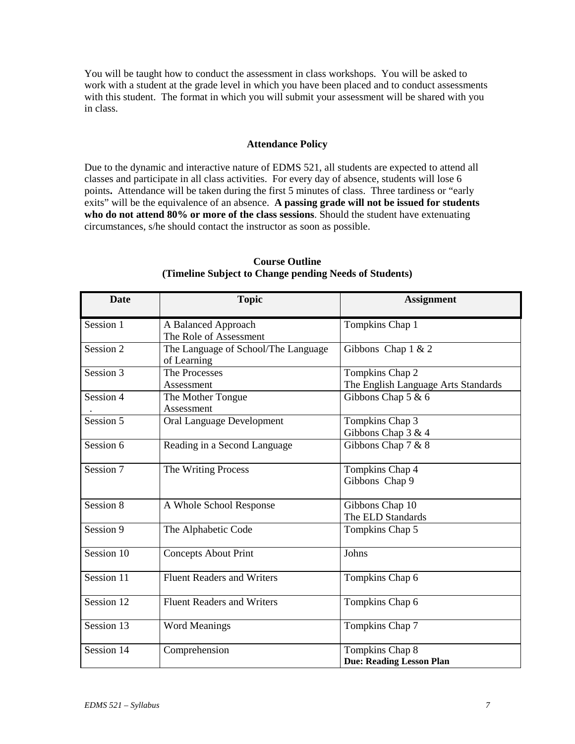You will be taught how to conduct the assessment in class workshops. You will be asked to work with a student at the grade level in which you have been placed and to conduct assessments with this student. The format in which you will submit your assessment will be shared with you in class.

### **Attendance Policy**

Due to the dynamic and interactive nature of EDMS 521, all students are expected to attend all classes and participate in all class activities. For every day of absence, students will lose 6 points**.** Attendance will be taken during the first 5 minutes of class. Three tardiness or "early exits" will be the equivalence of an absence. **A passing grade will not be issued for students who do not attend 80% or more of the class sessions**. Should the student have extenuating circumstances, s/he should contact the instructor as soon as possible.

| <b>Date</b> | <b>Topic</b>                                       | <b>Assignment</b>                                      |
|-------------|----------------------------------------------------|--------------------------------------------------------|
| Session 1   | A Balanced Approach<br>The Role of Assessment      | Tompkins Chap 1                                        |
| Session 2   | The Language of School/The Language<br>of Learning | Gibbons Chap $1 & 2$                                   |
| Session 3   | The Processes<br>Assessment                        | Tompkins Chap 2<br>The English Language Arts Standards |
| Session 4   | The Mother Tongue<br>Assessment                    | Gibbons Chap 5 & 6                                     |
| Session 5   | Oral Language Development                          | Tompkins Chap 3<br>Gibbons Chap $3 & 4$                |
| Session 6   | Reading in a Second Language                       | Gibbons Chap 7 & 8                                     |
| Session 7   | The Writing Process                                | Tompkins Chap 4<br>Gibbons Chap 9                      |
| Session 8   | A Whole School Response                            | Gibbons Chap 10<br>The ELD Standards                   |
| Session 9   | The Alphabetic Code                                | Tompkins Chap 5                                        |
| Session 10  | <b>Concepts About Print</b>                        | Johns                                                  |
| Session 11  | <b>Fluent Readers and Writers</b>                  | Tompkins Chap 6                                        |
| Session 12  | <b>Fluent Readers and Writers</b>                  | Tompkins Chap 6                                        |
| Session 13  | <b>Word Meanings</b>                               | Tompkins Chap 7                                        |
| Session 14  | Comprehension                                      | Tompkins Chap 8<br><b>Due: Reading Lesson Plan</b>     |

**Course Outline (Timeline Subject to Change pending Needs of Students)**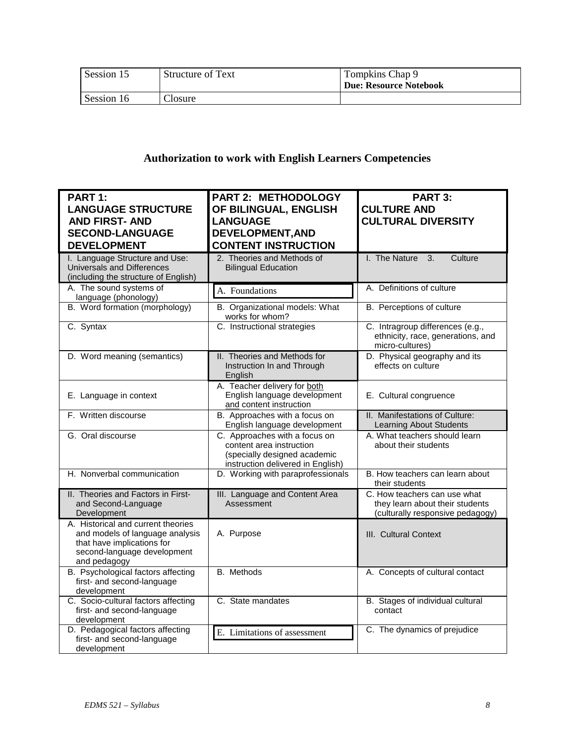| Session 15 | <b>Structure of Text</b> | Tompkins Chap 9<br>Due: Resource Notebook |
|------------|--------------------------|-------------------------------------------|
| Session 16 | losure.                  |                                           |

# **Authorization to work with English Learners Competencies**

| <b>PART 1:</b>                                                                                                                                     | <b>PART 2: METHODOLOGY</b>                                                                                                     | PART 3:                                                                                             |
|----------------------------------------------------------------------------------------------------------------------------------------------------|--------------------------------------------------------------------------------------------------------------------------------|-----------------------------------------------------------------------------------------------------|
| <b>LANGUAGE STRUCTURE</b>                                                                                                                          | OF BILINGUAL, ENGLISH                                                                                                          | <b>CULTURE AND</b>                                                                                  |
| <b>AND FIRST- AND</b>                                                                                                                              | <b>LANGUAGE</b>                                                                                                                | <b>CULTURAL DIVERSITY</b>                                                                           |
|                                                                                                                                                    |                                                                                                                                |                                                                                                     |
| <b>SECOND-LANGUAGE</b>                                                                                                                             | <b>DEVELOPMENT, AND</b>                                                                                                        |                                                                                                     |
| <b>DEVELOPMENT</b>                                                                                                                                 | <b>CONTENT INSTRUCTION</b>                                                                                                     |                                                                                                     |
| I. Language Structure and Use:<br>Universals and Differences                                                                                       | 2. Theories and Methods of<br><b>Bilingual Education</b>                                                                       | I. The Nature<br>Culture<br>3.                                                                      |
| (including the structure of English)                                                                                                               |                                                                                                                                |                                                                                                     |
| A. The sound systems of<br>language (phonology)                                                                                                    | A. Foundations                                                                                                                 | A. Definitions of culture                                                                           |
| B. Word formation (morphology)                                                                                                                     | B. Organizational models: What<br>works for whom?                                                                              | B. Perceptions of culture                                                                           |
| C. Syntax                                                                                                                                          | C. Instructional strategies                                                                                                    | C. Intragroup differences (e.g.,<br>ethnicity, race, generations, and<br>micro-cultures)            |
| D. Word meaning (semantics)                                                                                                                        | II. Theories and Methods for<br>Instruction In and Through<br>English                                                          | D. Physical geography and its<br>effects on culture                                                 |
| E. Language in context                                                                                                                             | A. Teacher delivery for both<br>English language development<br>and content instruction                                        | E. Cultural congruence                                                                              |
| F. Written discourse                                                                                                                               | B. Approaches with a focus on<br>English language development                                                                  | II. Manifestations of Culture:<br><b>Learning About Students</b>                                    |
| G. Oral discourse                                                                                                                                  | C. Approaches with a focus on<br>content area instruction<br>(specially designed academic<br>instruction delivered in English) | A. What teachers should learn<br>about their students                                               |
| H. Nonverbal communication                                                                                                                         | D. Working with paraprofessionals                                                                                              | B. How teachers can learn about<br>their students                                                   |
| II. Theories and Factors in First-<br>and Second-Language<br>Development                                                                           | III. Language and Content Area<br>Assessment                                                                                   | C. How teachers can use what<br>they learn about their students<br>(culturally responsive pedagogy) |
| A. Historical and current theories<br>and models of language analysis<br>that have implications for<br>second-language development<br>and pedagogy | A. Purpose                                                                                                                     | III. Cultural Context                                                                               |
| B. Psychological factors affecting<br>first- and second-language<br>development                                                                    | <b>B.</b> Methods                                                                                                              | A. Concepts of cultural contact                                                                     |
| C. Socio-cultural factors affecting<br>first- and second-language<br>development                                                                   | C. State mandates                                                                                                              | B. Stages of individual cultural<br>contact                                                         |
| D. Pedagogical factors affecting<br>first- and second-language<br>development                                                                      | E. Limitations of assessment                                                                                                   | C. The dynamics of prejudice                                                                        |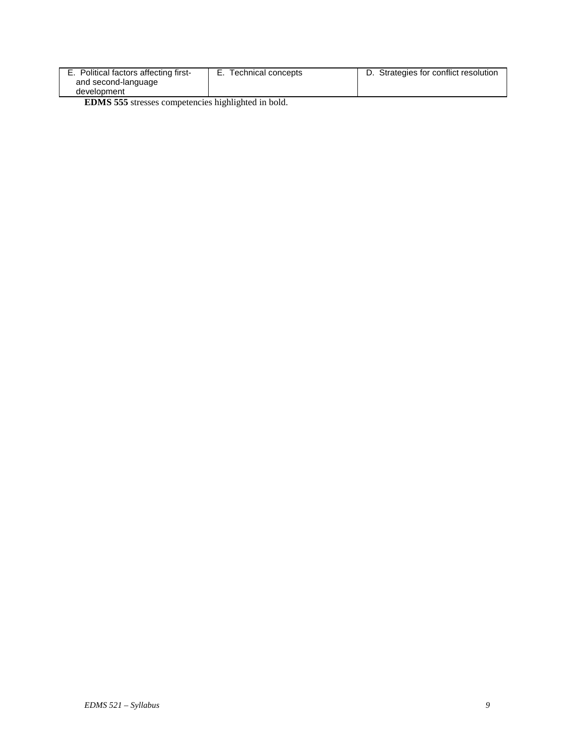| E. Political factors affecting first- | Technical concepts | D. Strategies for conflict resolution |
|---------------------------------------|--------------------|---------------------------------------|
| and second-language                   |                    |                                       |
| development                           |                    |                                       |

**EDMS 555** stresses competencies highlighted in bold.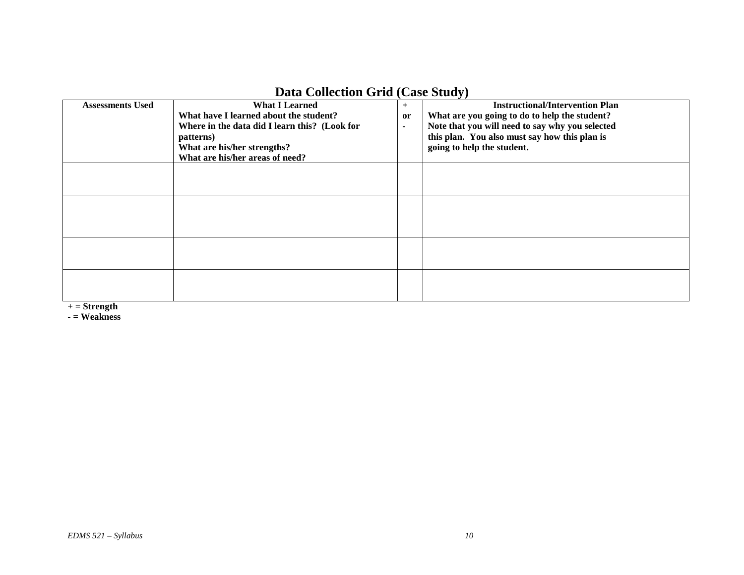| $D$ ata Concentru Gria (Case Stati) |                                               |        |                                                 |
|-------------------------------------|-----------------------------------------------|--------|-------------------------------------------------|
| <b>Assessments Used</b>             | <b>What I Learned</b>                         | $+$    | <b>Instructional/Intervention Plan</b>          |
|                                     | What have I learned about the student?        | or     | What are you going to do to help the student?   |
|                                     | Where in the data did I learn this? (Look for | $\sim$ | Note that you will need to say why you selected |
|                                     | patterns)                                     |        | this plan. You also must say how this plan is   |
|                                     | What are his/her strengths?                   |        | going to help the student.                      |
|                                     | What are his/her areas of need?               |        |                                                 |
|                                     |                                               |        |                                                 |
|                                     |                                               |        |                                                 |
|                                     |                                               |        |                                                 |
|                                     |                                               |        |                                                 |
|                                     |                                               |        |                                                 |
|                                     |                                               |        |                                                 |
|                                     |                                               |        |                                                 |
|                                     |                                               |        |                                                 |
|                                     |                                               |        |                                                 |
|                                     |                                               |        |                                                 |
|                                     |                                               |        |                                                 |
|                                     |                                               |        |                                                 |
|                                     |                                               |        |                                                 |

# **Data Collection Grid (Case Study)**

**+ = Strength**

**- = Weakness**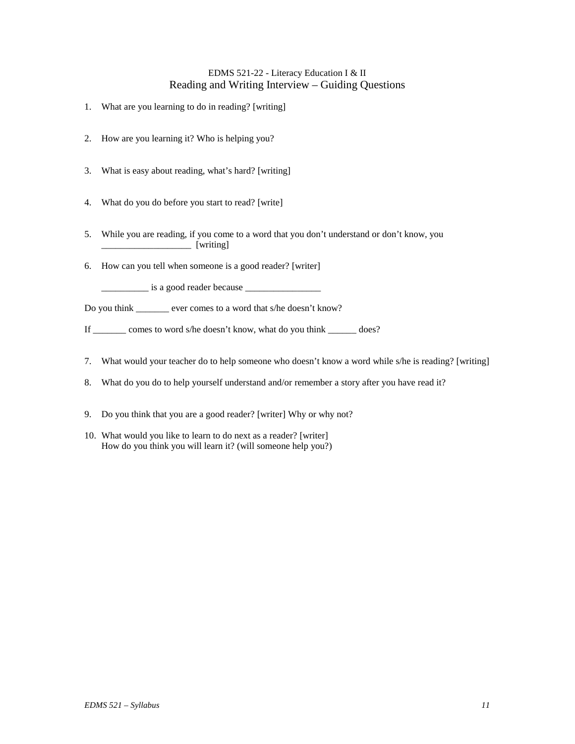### EDMS 521-22 - Literacy Education I & II Reading and Writing Interview – Guiding Questions

- 1. What are you learning to do in reading? [writing]
- 2. How are you learning it? Who is helping you?
- 3. What is easy about reading, what's hard? [writing]
- 4. What do you do before you start to read? [write]
- 5. While you are reading, if you come to a word that you don't understand or don't know, you  $\lceil$  writing]
- 6. How can you tell when someone is a good reader? [writer]

\_\_\_\_\_\_\_\_\_\_ is a good reader because \_\_\_\_\_\_\_\_\_\_\_\_\_\_\_\_

Do you think \_\_\_\_\_\_\_ ever comes to a word that s/he doesn't know?

If \_\_\_\_\_\_\_ comes to word s/he doesn't know, what do you think \_\_\_\_\_\_ does?

- 7. What would your teacher do to help someone who doesn't know a word while s/he is reading? [writing]
- 8. What do you do to help yourself understand and/or remember a story after you have read it?
- 9. Do you think that you are a good reader? [writer] Why or why not?
- 10. What would you like to learn to do next as a reader? [writer] How do you think you will learn it? (will someone help you?)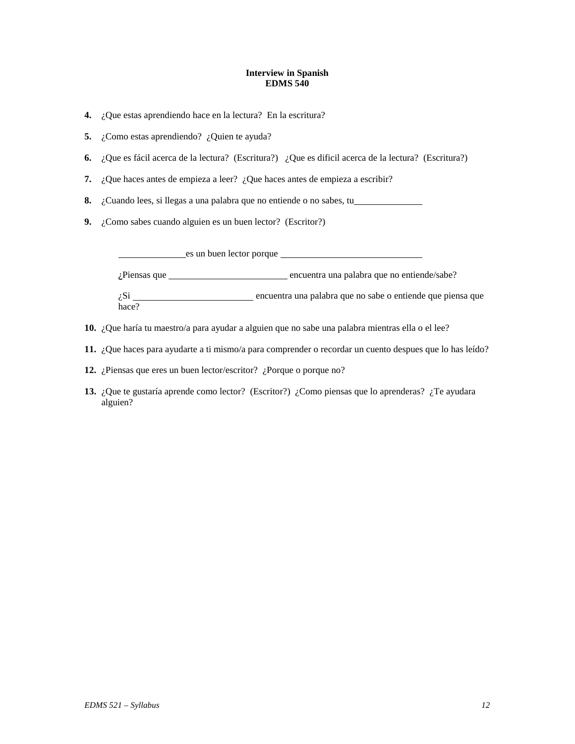#### **Interview in Spanish EDMS 540**

- **4.** ¿Que estas aprendiendo hace en la lectura? En la escritura?
- **5.** ¿Como estas aprendiendo? ¿Quien te ayuda?
- **6.** ¿Que es fácil acerca de la lectura? (Escritura?) ¿Que es dificil acerca de la lectura? (Escritura?)
- **7.** ¿Que haces antes de empieza a leer? ¿Que haces antes de empieza a escribir?

**8.** ¿Cuando lees, si llegas a una palabra que no entiende o no sabes, tu

**9.** ¿Como sabes cuando alguien es un buen lector? (Escritor?)

es un buen lector porque *i*Piensas que encuentra una palabra que no entiende/sabe? encuentra una palabra que no sabe o entiende que piensa que  $i$ Si  $\frac{1}{2}$ 

- **10.** ¿Que haría tu maestro/a para ayudar a alguien que no sabe una palabra mientras ella o el lee?
- **11.** ¿Que haces para ayudarte a ti mismo/a para comprender o recordar un cuento despues que lo has leído?
- **12.** ¿Piensas que eres un buen lector/escritor? ¿Porque o porque no?
- **13.** ¿Que te gustaría aprende como lector? (Escritor?) ¿Como piensas que lo aprenderas? ¿Te ayudara alguien?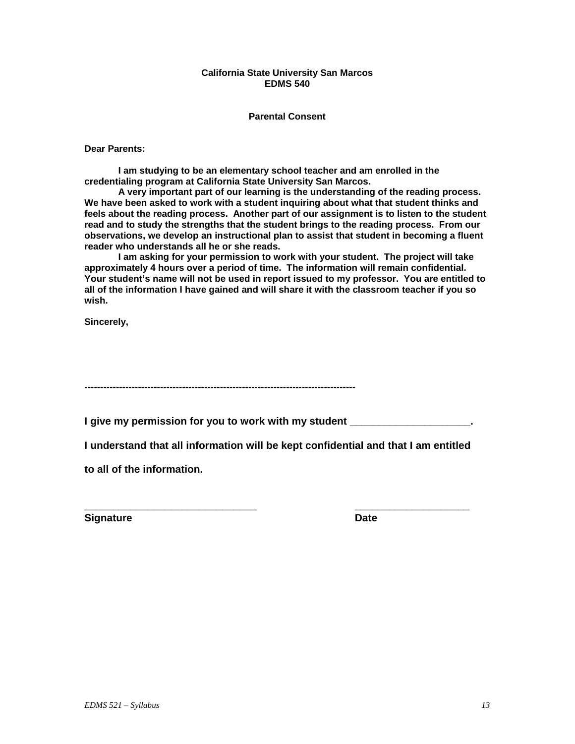### **California State University San Marcos EDMS 540**

### **Parental Consent**

**Dear Parents:**

**I am studying to be an elementary school teacher and am enrolled in the credentialing program at California State University San Marcos.** 

**A very important part of our learning is the understanding of the reading process. We have been asked to work with a student inquiring about what that student thinks and feels about the reading process. Another part of our assignment is to listen to the student read and to study the strengths that the student brings to the reading process. From our observations, we develop an instructional plan to assist that student in becoming a fluent reader who understands all he or she reads.**

**I am asking for your permission to work with your student. The project will take approximately 4 hours over a period of time. The information will remain confidential. Your student's name will not be used in report issued to my professor. You are entitled to all of the information I have gained and will share it with the classroom teacher if you so wish.**

**Sincerely,**

**--------------------------------------------------------------------------------------**

**I give my permission for you to work with my student \_\_\_\_\_\_\_\_\_\_\_\_\_\_\_\_\_\_\_\_\_.**

**I understand that all information will be kept confidential and that I am entitled** 

**to all of the information.**

**Signature Date** 

**\_\_\_\_\_\_\_\_\_\_\_\_\_\_\_\_\_\_\_\_\_\_\_\_\_\_\_\_\_\_ \_\_\_\_\_\_\_\_\_\_\_\_\_\_\_\_\_\_\_\_**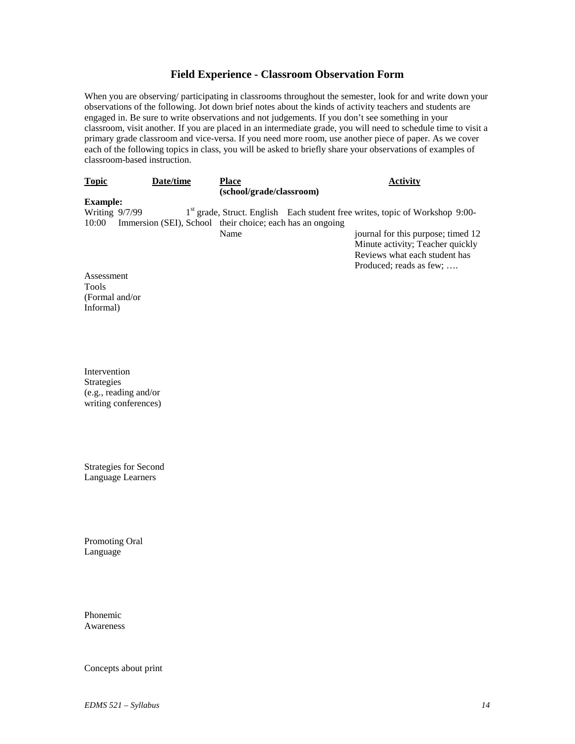### **Field Experience - Classroom Observation Form**

When you are observing/ participating in classrooms throughout the semester, look for and write down your observations of the following. Jot down brief notes about the kinds of activity teachers and students are engaged in. Be sure to write observations and not judgements. If you don't see something in your classroom, visit another. If you are placed in an intermediate grade, you will need to schedule time to visit a primary grade classroom and vice-versa. If you need more room, use another piece of paper. As we cover each of the following topics in class, you will be asked to briefly share your observations of examples of classroom-based instruction.

| <b>Topic</b>     | Date/time                                                 | <b>Place</b>             | <b>Activity</b>                                                                          |
|------------------|-----------------------------------------------------------|--------------------------|------------------------------------------------------------------------------------------|
|                  |                                                           | (school/grade/classroom) |                                                                                          |
| <b>Example:</b>  |                                                           |                          |                                                                                          |
| Writing $9/7/99$ |                                                           |                          | 1 <sup>st</sup> grade, Struct. English Each student free writes, topic of Workshop 9:00- |
| 10:00            | Immersion (SEI), School their choice; each has an ongoing |                          |                                                                                          |
|                  |                                                           | Name                     | journal for this purpose; timed 12                                                       |
|                  |                                                           |                          | Minute activity; Teacher quickly                                                         |
|                  |                                                           |                          | Reviews what each student has                                                            |
|                  |                                                           |                          | Produced; reads as few;                                                                  |
| Assessment       |                                                           |                          |                                                                                          |

(Formal and/or Informal)

Tools

Intervention Strategies (e.g., reading and/or writing conferences)

Strategies for Second Language Learners

Promoting Oral Language

Phonemic Awareness

Concepts about print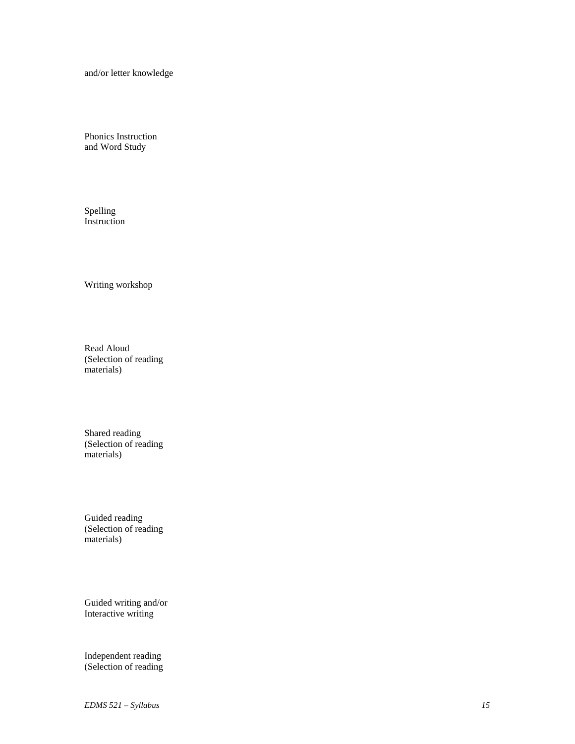and/or letter knowledge

Phonics Instruction and Word Study

Spelling Instruction

Writing workshop

Read Aloud (Selection of reading materials)

Shared reading (Selection of reading materials)

Guided reading (Selection of reading materials)

Guided writing and/or Interactive writing

Independent reading (Selection of reading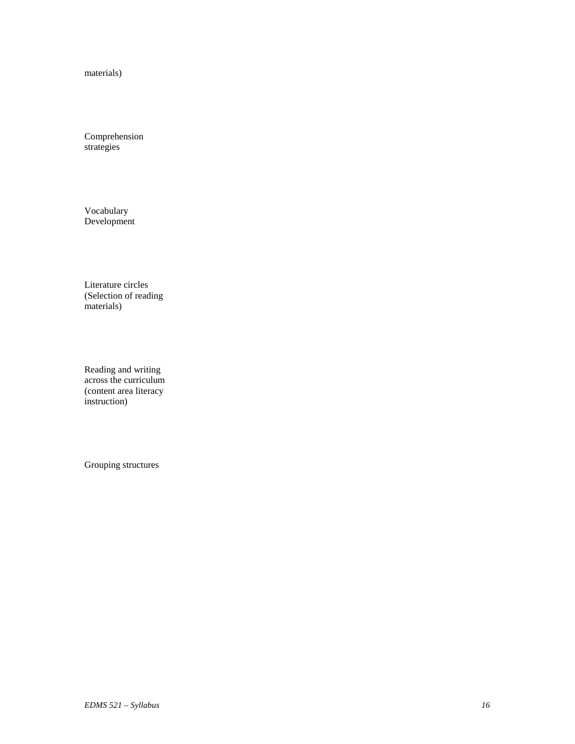materials)

Comprehension strategies

Vocabulary Development

Literature circles (Selection of reading materials)

Reading and writing across the curriculum (content area literacy instruction)

Grouping structures